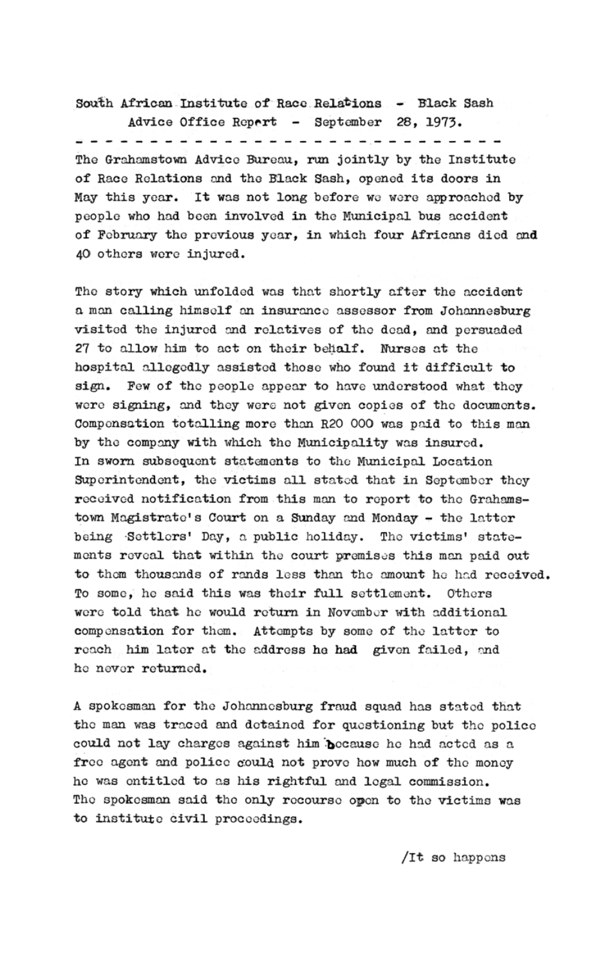South African Institute of Race Relations - Black Sash Advice Office Report - September 28, 1973. The Grahamstown Advice Bureau, run jointly by the Institute of Race Relations and the Black Sash, opened its doors in May this year. It was not long before we were approached by people who had been involved in the Municipal bus accident of February the previous year, in which four Africans died and 40 others were injured.

The story which unfolded was that shortly after the accident a man calling himself an insurance assessor from Johannesburg visited the injured and relatives of the dead, and persuaded 27 to allow him to act on their behalf. Nurses at the hospital allegedly assisted those who found it difficult to sign. Few of the people appear to have understood what they were signing, and they were not given copies of the documents. Compensation totalling more than R20 000 was paid to this man by the company with which the Municipality was insured. In sworn subsequent statements to the Municipal Location Superintendent, the victims all stated that in September they received notification from this man to report to the Grahamstown Magistrate's Court on a Sunday and Monday - the latter being Settlers' Day, a public holiday. The victims' statements reveal that within the court premises this man paid out to them thousands of rands less than the amount he had received. To some, he said this was their full settlement. Others were told that he would return in November with additional compensation for them. Attempts by some of the latter to reach him later at the address he had given failed, and he never returned.

A spokesman for the Johannesburg fraud squad has stated that the man was traced and detained for questioning but the police could not lay charges against him because he had acted as a free agent and police could not prove how much of the money he was entitled to as his rightful and legal commission. The spokesman said the only recourse open to the victims was to institute civil proceedings.

/It so happens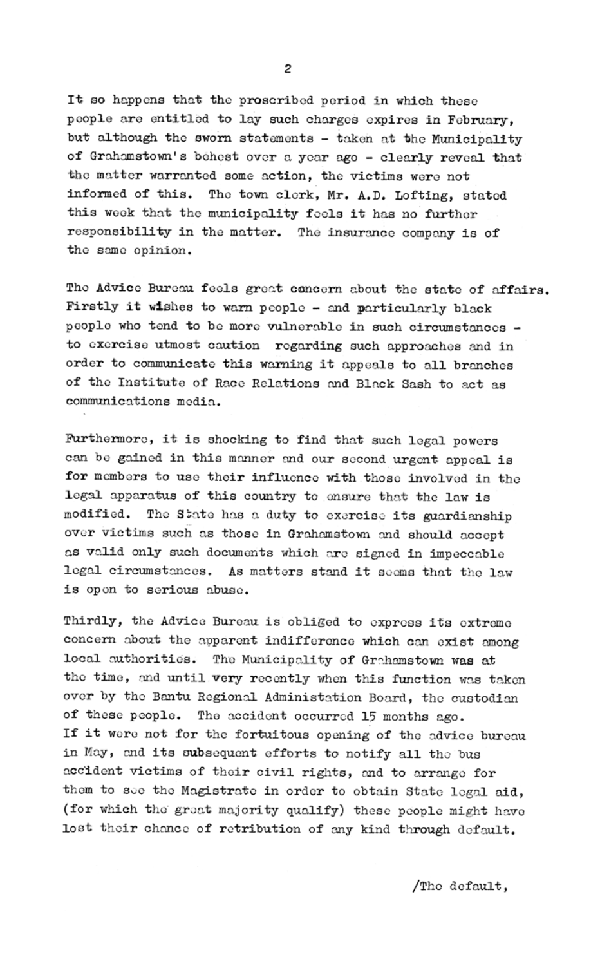It so happens that the proscribed period in which these people are entitled to lay such charges expires in February, but although the sworn statements - taken at the Municipality of Grahamstown's behest over a year ago - clearly reveal that the matter warranted some action, the victims were not informed of this. The town clerk, Mr. A.D. Lofting, stated this week that the municipality feels it has no further responsibility in the matter. The insurance company is of the same opinion.

The Advice Bureau feels great concern about the state of affairs. Firstly it wishes to warn people - and particularly black people who tend to be more vulnerable in such circumstances to exercise utmost caution regarding such approaches and in order to communicate this warning it appeals to all branches of the Institute of Race Relations and Black Sash to act as communications media.

Furthermore, it is shocking to find that such legal powers can be gained in this manner and our second urgent appeal is for members to use their influence with those involved in the legal apparatus of this country to ensure that the law is modified. The State has a duty to exercise its guardianship over victims such as those in Grahamstown and should accept as valid only such documents which are signed in impeccable legal circumstances. As matters stand it seems that the law is open to serious abuse.

Thirdly, the Advice Bureau is obliged to express its extreme concern about the apparent indifference which can exist among local authorities. The Municipality of Grahamstown was at the time, and until very recently when this function was taken over by the Bantu Regional Administation Board, the custodian of these people. The accident occurred 15 months ago. If it were not for the fortuitous opening of the advice bureau in May, and its subsequent efforts to notify all the bus accident victims of their civil rights, and to arrange for them to see the Magistrate in order to obtain State legal aid, (for which the great majority qualify) these people might have lost their chance of retribution of any kind through default.

 $\overline{c}$ 

/The default,